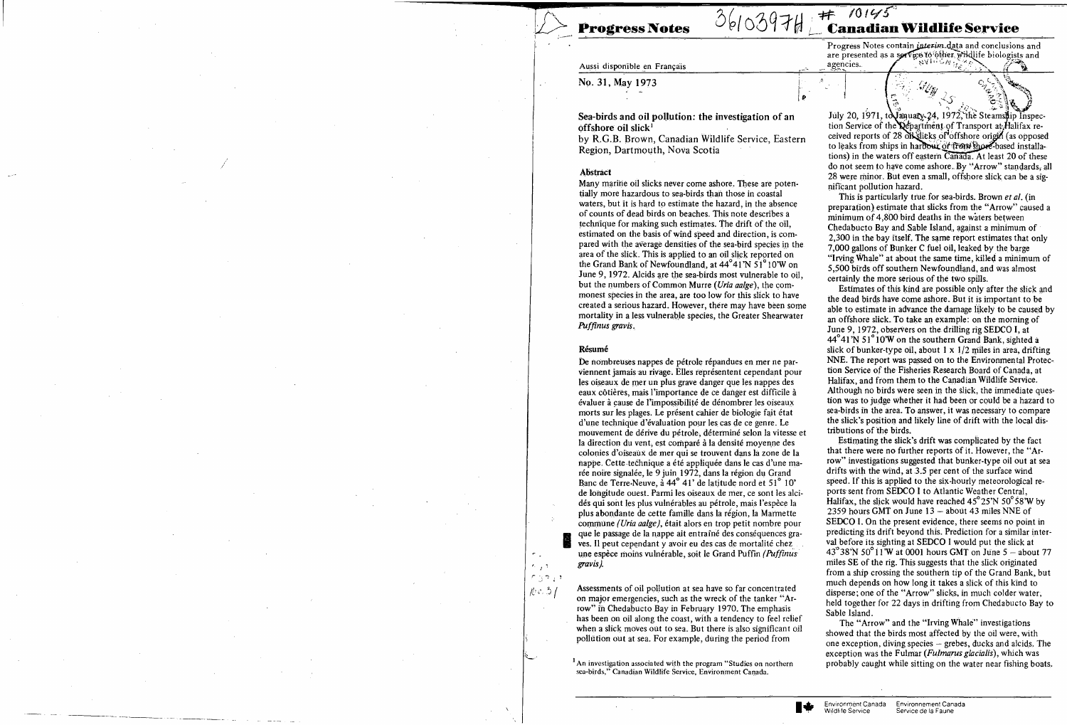Aussi disponible en Français

 $3610397H$  to  $29145$ ~rogress **Notes** !-\_~ **Canaman Wildlife Service** 

> Progress Notes contain *interim* data and conclusions and are presented as a service to other wildlife biologists and  $\begin{picture}(120,140)(-10,0) \put(0,0){\line(1,0){160}} \put(10,0){\line(1,0){160}} \put(10,0){\line(1,0){160}} \put(10,0){\line(1,0){160}} \put(10,0){\line(1,0){160}} \put(10,0){\line(1,0){160}} \put(10,0){\line(1,0){160}} \put(10,0){\line(1,0){160}} \put(10,0){\line(1,0){160}} \put(10,0){\line(1,0){160}} \put(10,0){\line(1$

July 20, 1971, to  $\begin{pmatrix} 1 & 1 & 1 \ 1 & 1 & 1 \end{pmatrix}$  . The Steamship Inspection Service of the **Qepartment** of Transport at Halifax received reports of  $28$  of slicks of offshore origin (as opposed to leaks from ships in harbour or from shore-based installations) in the waters off eastern  $\overline{Canada}$ . At least 20 of these do not seem to have come ashore. By "Arrow" standards, all 28 were minor. But even a small, offshore slick can be a significant pollution hazard.

Sea-birds and oil pollution: the investigation of an  $\delta$ ffshore oil slick<sup>1</sup>

by R.G.B. Brown, Canadian Wildlife Service, Eastern Region, Dartmouth, Nova Scotia

#### Abstract

No. 31, May 1973

Many marine oil slicks never come ashore. These are potentially more hazardous to sea-birds than those in coastal waters, but it is hard to estimate the hazard, in the absence of counts of dead birds on beaches. This note describes a technique for making such estimates. The drift of the oil, estimated on the basis of wind speed and direction, is compared with the average densities of the sea-bird species in the area of the slick. This is applied to an oil slick reported on the Grand Bank of Newfoundland, at  $44^{\circ}41'$ N 51<sup>°</sup> 10'W on June 9, 1972. Alcids are the sea-birds most vulnerable to oil, but the numbers of Common Murre *(Uria aalge)*, the commonest species in the area, are too low for this slick to have created a serious hazard. However, there may have been sorne mortality in a less vulnerable species, the Greater Shearwater *Puffinus gravis.* 

## Résumé

*'.* l'  $r_{\beta}$  ,,,,

 $k<sub>2</sub>$  /

 $\gamma$  .

This is particularly ttue, for sea-birds. Brown *et al.* (in preparation) estimate that slicks from the "Arrow" caused a minimum of 4,800 bird deaths in the waters between Chedabucto Bay and Sable Island, against a minimum of 2,300 in the bay itself. The same report estimates that only 7,000 gallons of Bunker C fuel oil, leaked by the barge "Irying Whale" at about the same time, killed a minimum of 5,500 birds off southern Newfoundiand, and was almost certainly the more serious of the two spills.

De nombreuses nappes de pétrole répandues en mer ne parviennent jamais au rivage. Elles représentent cependant pour les oiseaux de mer un plus grave danger que les nappes des eaux côtières, mais l'importance de ce danger est difficile à évaluer à çause de l'impossibilité de dénombrer les oiseaux morts sur les plages. Le présent cahier de biologie fait état d'une technique d'évaluation pour les cas de ce genre. Le mouvement de dérive du pétrole, déterminé selon la vitesse et la direction du vent, est comparé à la densité moyenne des colonies d'oiseaux de mer qui se trouvent dans la zone de la nappe. Cette-technique a été appliquée dans le cas d'une marée noire signalée, le 9 juin 1972, dans la région du Grand Banc de Terre-Neuve, à 44<sup>°</sup> 41' de latitude nord et 51<sup>°</sup> 10' de longitude ouest. Parmi les oiseaux de mer, ce sont les alcidés qui sont les plus vulnérables au pétrole, mais l'espèce la plus abondante de cette famille dans la région, la Marinette commune *(Uria aalge)*, était alors en trop petit nombre pour que le passage de la nappe ait entraîné des conséquences gra-<br>ves. Il peut cependant y avoir eu des cas de mortalité chez une espèce moins vulnérable, soit le Grand Puffin *(Puffimis gravis).* 

Estimates of this kind are possible only after the slick and the dead birds have come ashore. But it is important to be able to estimate in advance the damage likely to be caused by an offshore slick. To take an example: on the morning of June 9, 1972, observers on the drilling rig SEDCO I, at 44°41'N 51°10'W on the southern Grand Bank, sighted a slick of bunker-type oil, about  $1 \times 1/2$  miles in area, drifting NNE. The report was passed on to the Environmental Protection Service of the Fisheries Research Board of Canada, at Halifax, and from them to the Canadian Wildlife Service. Although no birds were seen in the slick, the immediate question was to judge whether it had been or could be a hazard to sea-birds in the area. To answer, it was necessary to compare the slick's position and likely line of drift with the local distributions of the birds.

Assessments of oil pollution at sea have so far concentrated on major emergencies, such as the wreck of the tanker "Arrow" in Chedabucto Bay in February 1970. The emphasis has been on oil along the coast, with a tendency to feel relief when a slick moves out to sea. But there is also significant oil pollütion out at sea. For example, du ring the perlod from

 $<sup>1</sup>$ An investigation associated with the program "Studies on northern</sup> sea-birds," Canadian Wildlife Service, Environment Canada.

Estimating the slick's drift was complicated by the fact that there were no further reports ôf it. However, the "Arrow" investigations suggested that bunker-type oil out at sea drifts with the wind, at 3.5 per cent of the surface wind speed. If this is applied to the six-hourly meteorological reports sent from SEDCO 1 to Atlantic Weather Central, Halifax, the slick would have reached  $45^{\circ}25'N$  50 $^{\circ}58'W$  by 2359 hours GMT on June  $13 -$  about 43 miles NNE of SEDCO 1. On the present evidence, there seems no point in predicting its drift beyond this. Prediction for a similar interval before its sighting at SEDCO 1 would put the slick at  $43^{\circ}38'$ N 50 $^{\circ}11'$ W at 0001 hours GMT on June 5 - about 77 miles SE of the rig. This suggests that the slick originated from a ship crossing the southerh tip of the Grand Bank, but much depends on how long it takes a slick of this kind to disperse; one of the "Arrow" slicks, in much colder water, held together for 22 days in drifting from Chedabucto Bay to Sable Island.

The "Arrow" and the "Irving Whale" investigations showed that the birds most affected by the oil were, with one exception, diving species  $-$  grebes, ducks and alcids. The exception was the Fulmar *(Fulmarus glacîalis),* which was probably caught while sitting on the water near fishing boats.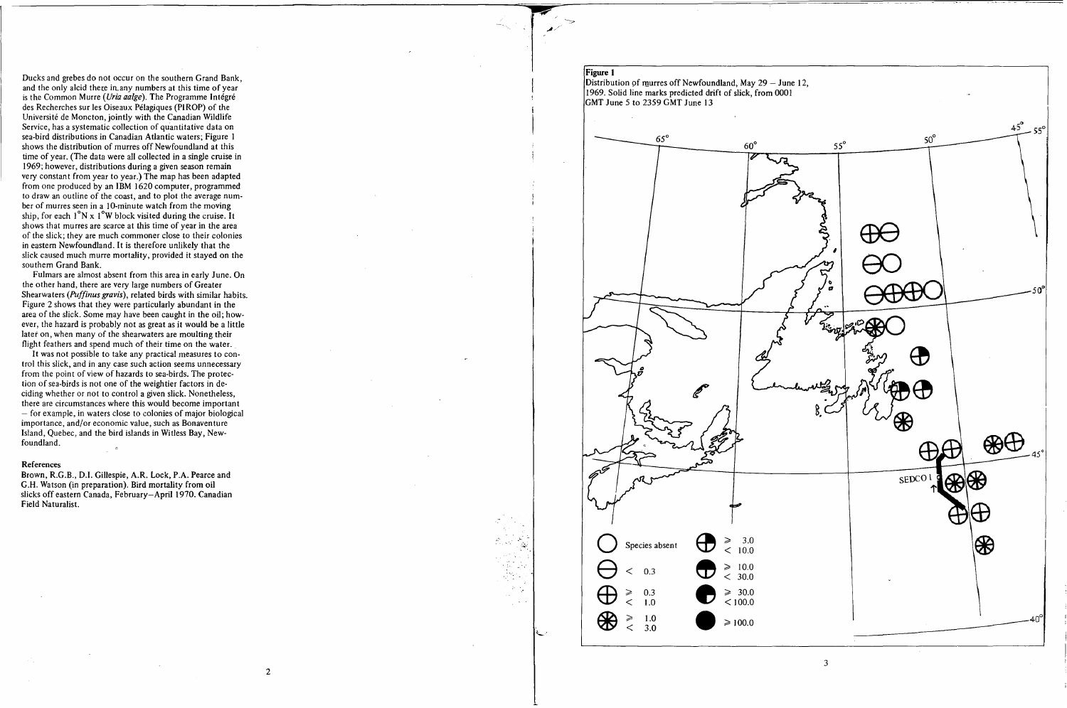Ducks and grebes do not occur on the southern Grand Bank, and the only alcid there in any numbers at this time of year is the Common Murre *(Uria aalge).* The Programme Intégré des Recherches sur les Oiseaux Pélagiques (PIROP) of the Université de Moncton, jointly with the Canadian WiIdlife Service, has a systematic collection of quantitative data on sea-bird distributions in Canadian Atlantic waters; Figure 1 shows the distribution of murres off Newfoundland at this time of year. (The data were all collected in a single cruise in 1969; however, distributions during a given season remain very constant from year to year.) The map has been adapted from one produced by an IBM 1620 computer, programmed to draw an outline of the coast, and to plot the average number of murres seen in a 10-minute watch from the moving ship, for each  $1^\circ N \times 1^\circ W$  block visited during the cruise. It shows that murres are scarce at this time of year in the area of the slick; they are much commoner close to their colonies in eastem Newfoundland. ft is therefore unlikely that the slick caused much murre mortality, provided it stayed on the southem Grand Bank.

Distribution of murres off Newfoundland, May 29 – June 12, 1969. Solid line marks predicted drift of slick, from 0001

Fulmars are almost absent from this area in early June. On the other hand, there are very large numbers of Greater Shearwaters *(Puffinus gravis),* related birds with similar habits. Figure 2 shows that they were particularly abundant in the area of the slick. Some may have been caught in the oil; however, the hazard is probably not as great as it would be a little later on, when many of the shearwaters are moulting their flight feathers and spend much of their time on the water.

It was not possible to take any practical measures to control this slick, and in any case such action seems unnecessary from the point of view of hazards to sea-birds. The protection of sea-birds is not one of the weightier factors in deciding whether or not to control a given slick. Nonetheless, there are circumstances where this would become important - for example, in waters close to colonies of major biological importance, and/or economic value, such as Bonaventure Island, Quebec, and the bird islands in Witless Bay, Newfoundland.

## **References**

Brown, R.G.B., D.1. Gillespie, A.R. Lock, P.A. Pearce and G.H. Watson (in preparation). Bird mortality from oil slicks off eastern Canada, February-April 1970. Canadian Field Naturalist.

\_. c .,', *·:.l·:* 

, ..

 $\cdot$  :

# Figure 1